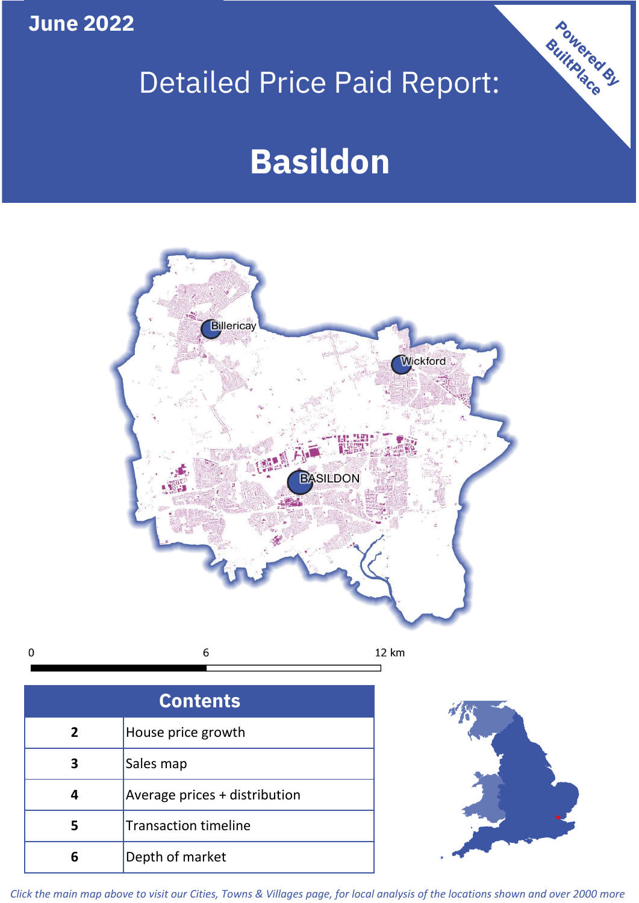**June 2022**

 $\mathbf 0$ 

# Detailed Price Paid Report:

# **Basildon**



**Contents 5 4 3 2** House price growth Sales map Average prices + distribution Transaction timeline **6** Depth of market



Powered By

*Click the main map above to visit our Cities, Towns & Villages page, for local analysis of the locations shown and over 2000 more*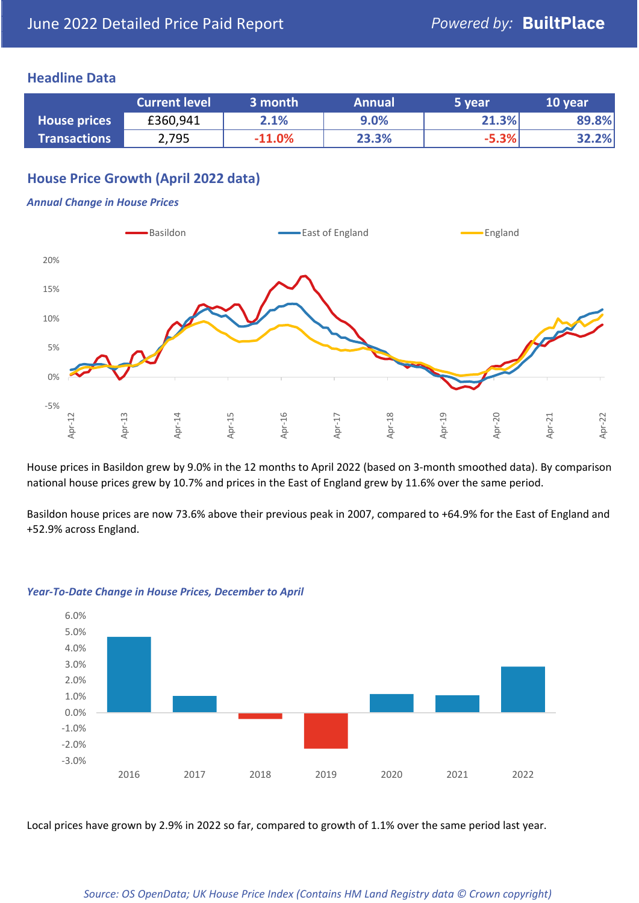## **Headline Data**

|                     | <b>Current level</b> | 3 month  | <b>Annual</b> | 5 year  | 10 year |
|---------------------|----------------------|----------|---------------|---------|---------|
| <b>House prices</b> | £360,941             | 2.1%     | 9.0%          | 21.3%   | 89.8%   |
| <b>Transactions</b> | 2,795                | $-11.0%$ | 23.3%         | $-5.3%$ | 32.2%   |

# **House Price Growth (April 2022 data)**

#### *Annual Change in House Prices*



House prices in Basildon grew by 9.0% in the 12 months to April 2022 (based on 3-month smoothed data). By comparison national house prices grew by 10.7% and prices in the East of England grew by 11.6% over the same period.

Basildon house prices are now 73.6% above their previous peak in 2007, compared to +64.9% for the East of England and +52.9% across England.



#### *Year-To-Date Change in House Prices, December to April*

Local prices have grown by 2.9% in 2022 so far, compared to growth of 1.1% over the same period last year.

#### *Source: OS OpenData; UK House Price Index (Contains HM Land Registry data © Crown copyright)*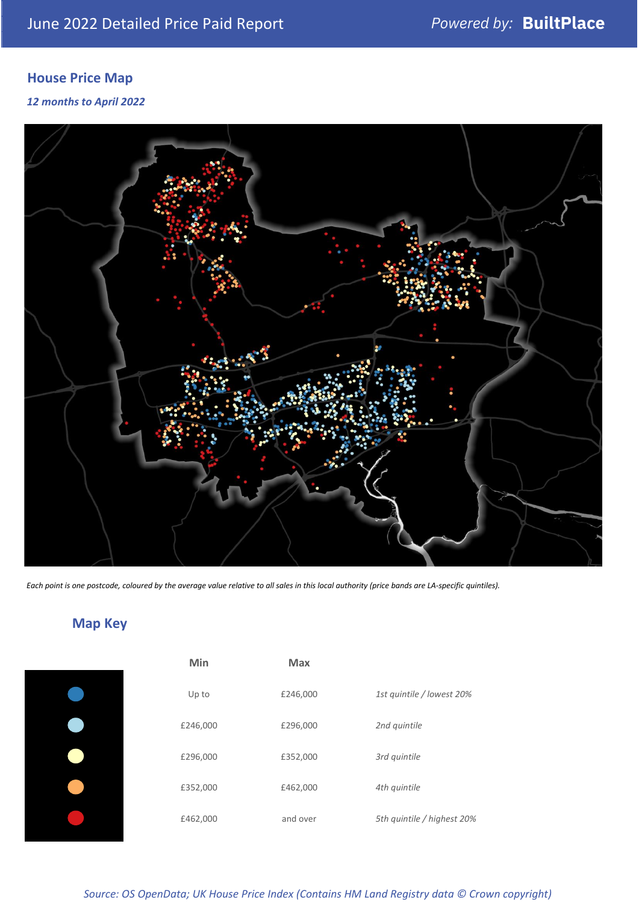# **House Price Map**

### *12 months to April 2022*



*Each point is one postcode, coloured by the average value relative to all sales in this local authority (price bands are LA-specific quintiles).*

# **Map Key**

| Min      | <b>Max</b> |                            |
|----------|------------|----------------------------|
| Up to    | £246,000   | 1st quintile / lowest 20%  |
| £246,000 | £296,000   | 2nd quintile               |
| £296,000 | £352,000   | 3rd quintile               |
| £352,000 | £462,000   | 4th quintile               |
| £462,000 | and over   | 5th quintile / highest 20% |
|          |            |                            |

*Source: OS OpenData; UK House Price Index (Contains HM Land Registry data © Crown copyright)*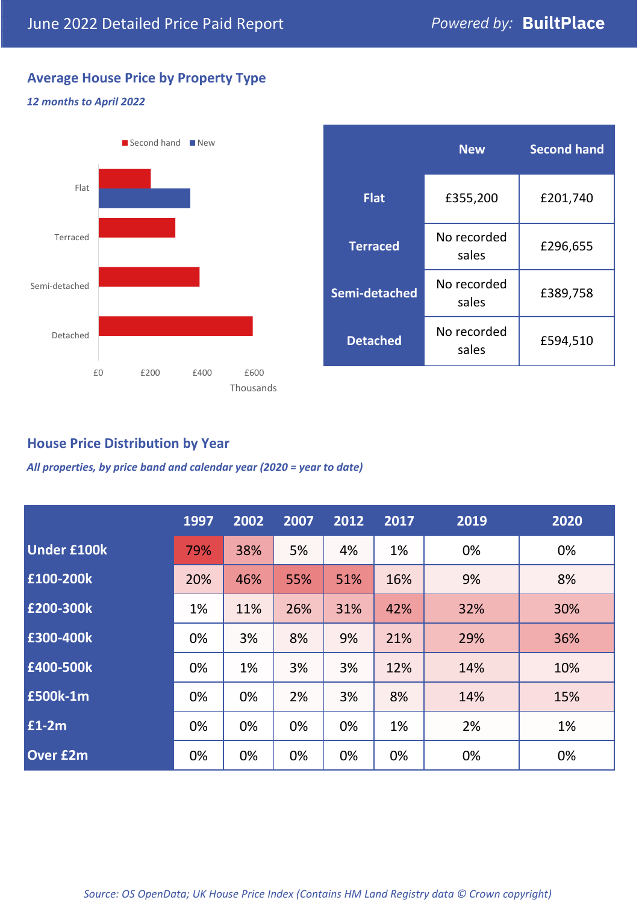# **Average House Price by Property Type**

### *12 months to April 2022*



# **House Price Distribution by Year**

*All properties, by price band and calendar year (2020 = year to date)*

|                    | 1997 | 2002 | 2007 | 2012 | 2017 | 2019 | 2020 |
|--------------------|------|------|------|------|------|------|------|
| <b>Under £100k</b> | 79%  | 38%  | 5%   | 4%   | 1%   | 0%   | 0%   |
| £100-200k          | 20%  | 46%  | 55%  | 51%  | 16%  | 9%   | 8%   |
| E200-300k          | 1%   | 11%  | 26%  | 31%  | 42%  | 32%  | 30%  |
| £300-400k          | 0%   | 3%   | 8%   | 9%   | 21%  | 29%  | 36%  |
| £400-500k          | 0%   | 1%   | 3%   | 3%   | 12%  | 14%  | 10%  |
| <b>£500k-1m</b>    | 0%   | 0%   | 2%   | 3%   | 8%   | 14%  | 15%  |
| £1-2m              | 0%   | 0%   | 0%   | 0%   | 1%   | 2%   | 1%   |
| <b>Over £2m</b>    | 0%   | 0%   | 0%   | 0%   | 0%   | 0%   | 0%   |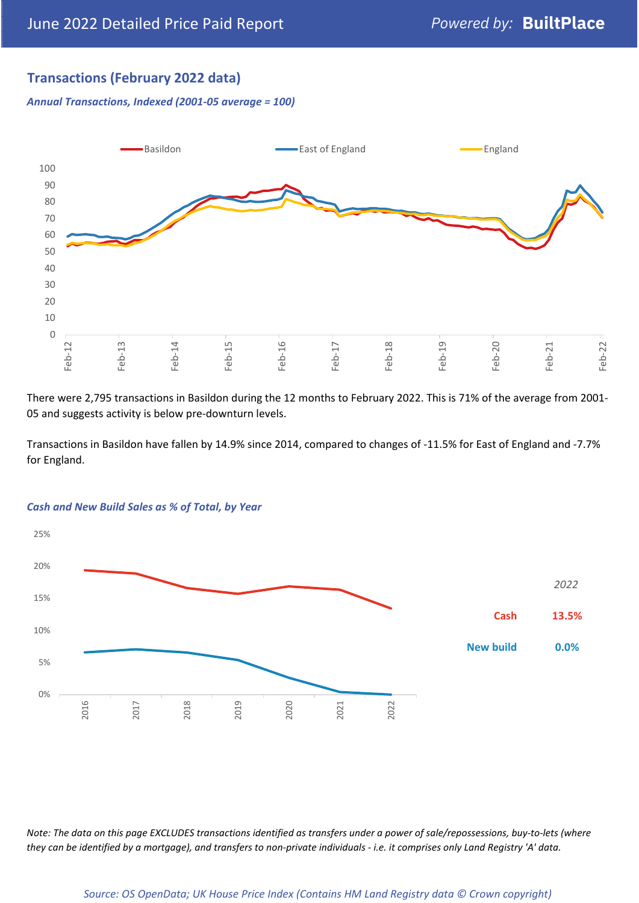# **Transactions (February 2022 data)**

*Annual Transactions, Indexed (2001-05 average = 100)*



There were 2,795 transactions in Basildon during the 12 months to February 2022. This is 71% of the average from 2001- 05 and suggests activity is below pre-downturn levels.

Transactions in Basildon have fallen by 14.9% since 2014, compared to changes of -11.5% for East of England and -7.7% for England.



#### *Cash and New Build Sales as % of Total, by Year*

*Note: The data on this page EXCLUDES transactions identified as transfers under a power of sale/repossessions, buy-to-lets (where they can be identified by a mortgage), and transfers to non-private individuals - i.e. it comprises only Land Registry 'A' data.*